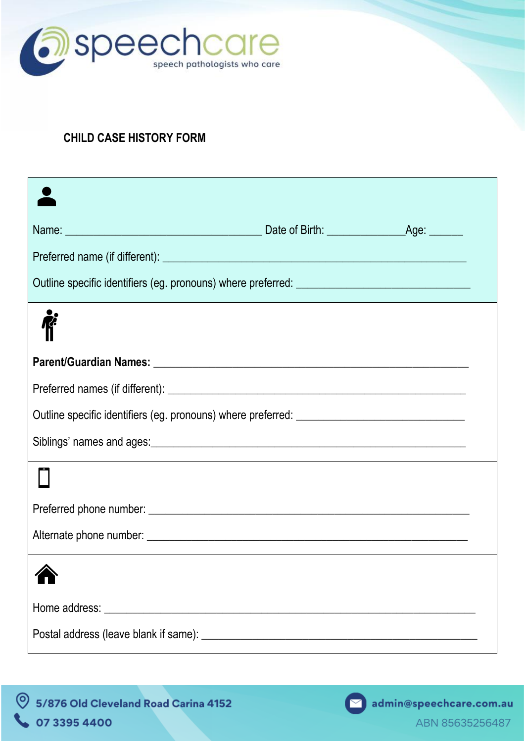

## **CHILD CASE HISTORY FORM**

| Outline specific identifiers (eg. pronouns) where preferred: ____________________                                                                                                                                                   |  |
|-------------------------------------------------------------------------------------------------------------------------------------------------------------------------------------------------------------------------------------|--|
|                                                                                                                                                                                                                                     |  |
|                                                                                                                                                                                                                                     |  |
|                                                                                                                                                                                                                                     |  |
|                                                                                                                                                                                                                                     |  |
|                                                                                                                                                                                                                                     |  |
| Home address: <u>experience</u> and the second second second second second second second second second second second second second second second second second second second second second second second second second second secon |  |
|                                                                                                                                                                                                                                     |  |

9 5/876 Old Cleveland Road Carina 4152 07 3395 4400

admin@speechcare.com.au

 $\blacksquare$ 

ABN 85635256487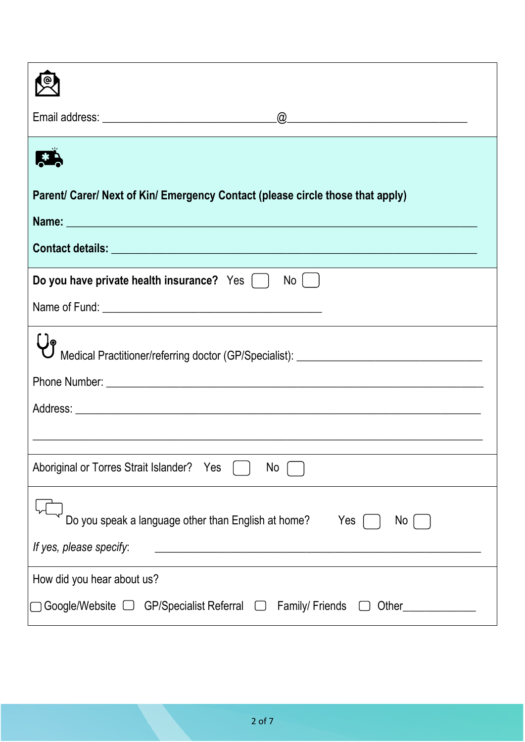| Parent/ Carer/ Next of Kin/ Emergency Contact (please circle those that apply)                                                                                                                                                |  |  |  |
|-------------------------------------------------------------------------------------------------------------------------------------------------------------------------------------------------------------------------------|--|--|--|
| Name: Name: Name: Name: Name: Name: Name: Name: Name: Name: Name: Name: Name: Name: Name: Name: Name: Name: Name: Name: Name: Name: Name: Name: Name: Name: Name: Name: Name: Name: Name: Name: Name: Name: Name: Name: Name: |  |  |  |
|                                                                                                                                                                                                                               |  |  |  |
|                                                                                                                                                                                                                               |  |  |  |
| Do you have private health insurance? Yes [ ]<br>No I                                                                                                                                                                         |  |  |  |
|                                                                                                                                                                                                                               |  |  |  |
| Medical Practitioner/referring doctor (GP/Specialist): _________________________                                                                                                                                              |  |  |  |
|                                                                                                                                                                                                                               |  |  |  |
|                                                                                                                                                                                                                               |  |  |  |
|                                                                                                                                                                                                                               |  |  |  |
|                                                                                                                                                                                                                               |  |  |  |
| Aboriginal or Torres Strait Islander? Yes<br>N <sub>o</sub>                                                                                                                                                                   |  |  |  |
| Do you speak a language other than English at home?<br>Yes<br>No.                                                                                                                                                             |  |  |  |
| If yes, please specify:<br><u> 1989 - Johann John Stein, marwolaethau (b. 1989)</u>                                                                                                                                           |  |  |  |
| How did you hear about us?                                                                                                                                                                                                    |  |  |  |
| <b>Family/Friends</b><br>Other                                                                                                                                                                                                |  |  |  |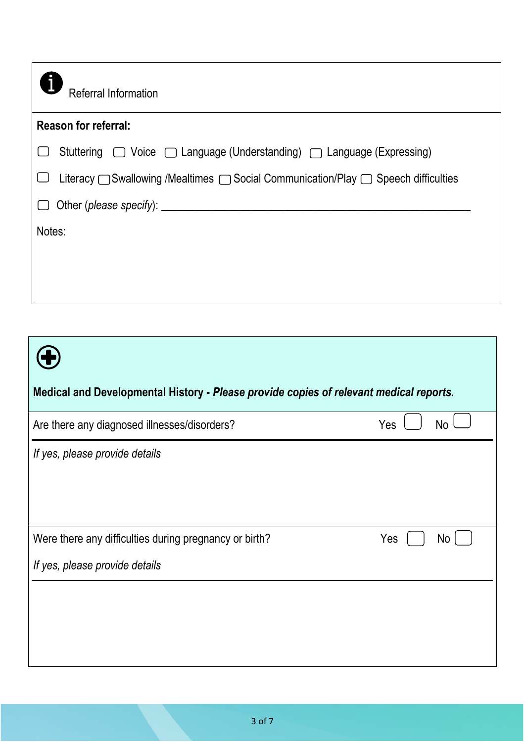| Referral Information                                                                                       |
|------------------------------------------------------------------------------------------------------------|
| <b>Reason for referral:</b>                                                                                |
| Stuttering □ Voice □ Language (Understanding) □ Language (Expressing)                                      |
| Literacy $\bigcap$ Swallowing /Mealtimes $\bigcap$ Social Communication/Play $\bigcap$ Speech difficulties |
| Other (please specify): _________                                                                          |
| Notes:                                                                                                     |
|                                                                                                            |
|                                                                                                            |

| Medical and Developmental History - Please provide copies of relevant medical reports.   |     |           |  |  |
|------------------------------------------------------------------------------------------|-----|-----------|--|--|
| Are there any diagnosed illnesses/disorders?                                             | Yes | No        |  |  |
| If yes, please provide details                                                           |     |           |  |  |
| Were there any difficulties during pregnancy or birth?<br>If yes, please provide details | Yes | <b>No</b> |  |  |
|                                                                                          |     |           |  |  |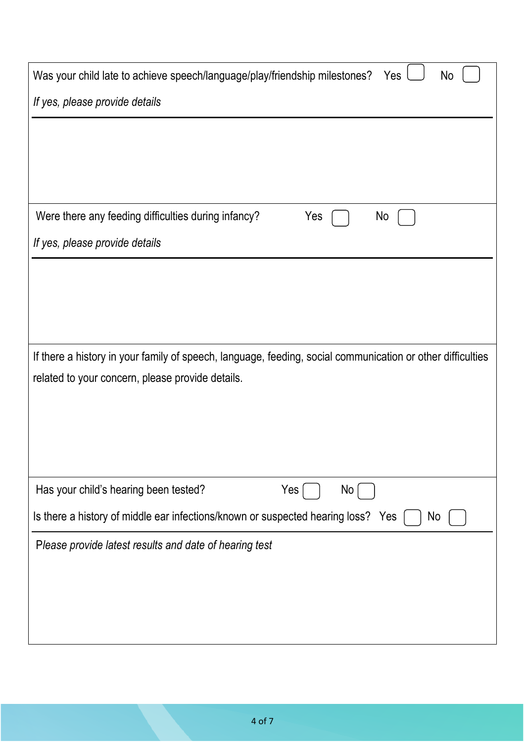| Was your child late to achieve speech/language/play/friendship milestones?<br>Yes<br>No                    |
|------------------------------------------------------------------------------------------------------------|
| If yes, please provide details                                                                             |
|                                                                                                            |
|                                                                                                            |
|                                                                                                            |
| Were there any feeding difficulties during infancy?<br>Yes<br>No                                           |
| If yes, please provide details                                                                             |
|                                                                                                            |
|                                                                                                            |
|                                                                                                            |
| If there a history in your family of speech, language, feeding, social communication or other difficulties |
| related to your concern, please provide details.                                                           |
|                                                                                                            |
|                                                                                                            |
|                                                                                                            |
| Has your child's hearing been tested?<br>Yes<br>No                                                         |
| Is there a history of middle ear infections/known or suspected hearing loss? Yes<br>No                     |
| Please provide latest results and date of hearing test                                                     |
|                                                                                                            |
|                                                                                                            |
|                                                                                                            |
|                                                                                                            |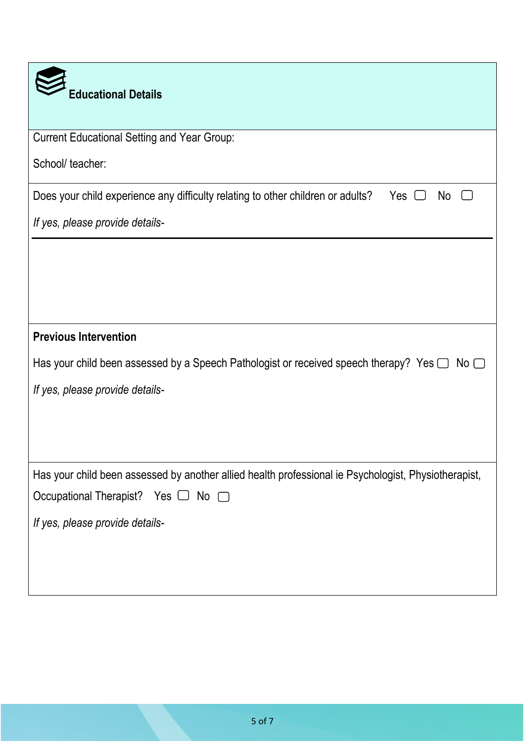| <b>Educational Details</b>                                                                                 |
|------------------------------------------------------------------------------------------------------------|
| <b>Current Educational Setting and Year Group:</b>                                                         |
| School/ teacher:                                                                                           |
| Does your child experience any difficulty relating to other children or adults?<br>Yes $\Box$<br>No        |
| If yes, please provide details-                                                                            |
|                                                                                                            |
|                                                                                                            |
|                                                                                                            |
| <b>Previous Intervention</b>                                                                               |
| Has your child been assessed by a Speech Pathologist or received speech therapy? Yes $\Box$<br>$No$ $\Box$ |
| If yes, please provide details-                                                                            |
|                                                                                                            |
|                                                                                                            |
| Has your child been assessed by another allied health professional ie Psychologist, Physiotherapist,       |
| Occupational Therapist? Yes □ No □                                                                         |
| If yes, please provide details-                                                                            |
|                                                                                                            |
|                                                                                                            |
|                                                                                                            |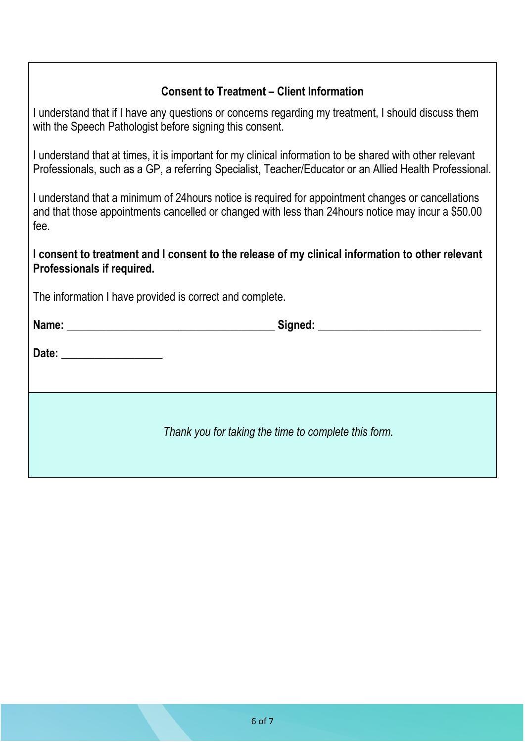## **Consent to Treatment – Client Information**

I understand that if I have any questions or concerns regarding my treatment, I should discuss them with the Speech Pathologist before signing this consent.

I understand that at times, it is important for my clinical information to be shared with other relevant Professionals, such as a GP, a referring Specialist, Teacher/Educator or an Allied Health Professional.

I understand that a minimum of 24hours notice is required for appointment changes or cancellations and that those appointments cancelled or changed with less than 24hours notice may incur a \$50.00 fee.

**I consent to treatment and I consent to the release of my clinical information to other relevant Professionals if required.**

The information I have provided is correct and complete.

| Date: _____________________ |                                                      |  |
|-----------------------------|------------------------------------------------------|--|
|                             |                                                      |  |
|                             |                                                      |  |
|                             |                                                      |  |
|                             | Thank you for taking the time to complete this form. |  |
|                             |                                                      |  |
|                             |                                                      |  |